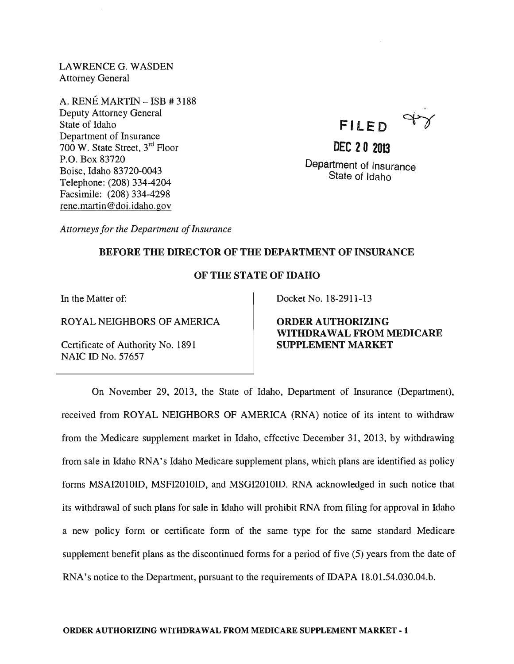LAWRENCE G. WASDEN Attorney General

A. RENE MARTIN - ISB # 3188 Deputy Attorney General State of Idaho Department of Insurance 700 W. State Street, 3<sup>rd</sup> Floor P.O. Box 83720 Boise, Idaho 83720-0043 Telephone: (208) 334-4204 Facsimile: (208) 334-4298 rene.martin@doi.idaho.gov

**FI LE <sup>D</sup>**~

**DEC 20 2013**  Department of Insurance State of Idaho

*Attorneys for the Department of Insurance* 

## BEFORE THE DIRECTOR OF THE DEPARTMENT OF INSURANCE

## OF THE STATE OF IDAHO

In the Matter of:

ROYAL NEIGHBORS OF AMERICA

Certificate of Authority No. 1891 NAIC ID No. 57657

Docket No. 18-2911-13

ORDER AUTHORIZING WITHDRAWAL FROM MEDICARE SUPPLEMENT MARKET

On November 29, 2013, the State of Idaho, Department of Insurance (Department), received from ROYAL NEIGHBORS OF AMERICA (RNA) notice of its intent to withdraw from the Medicare supplement market in Idaho, effective December 31, 2013, by withdrawing from sale in Idaho RNA's Idaho Medicare supplement plans, which plans are identified as policy forms MSAI2010ID, MSFI201OID, and MSGI2010ID. RNA acknowledged in such notice that its withdrawal of such plans for sale in Idaho will prohibit RNA from filing for approval in Idaho a new policy form or certificate form of the same type for the same standard Medicare supplement benefit plans as the discontinued forms for a period of five (5) years from the date of RNA's notice to the Department, pursuant to the requirements of IDAPA 18.01.54.030.04.b.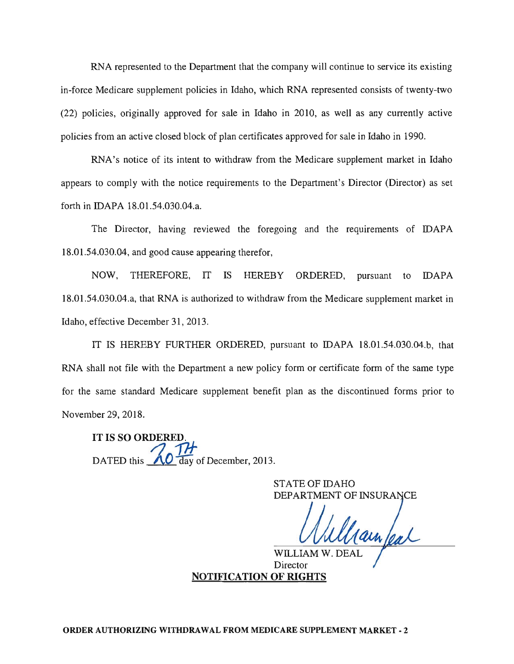RNA represented to the Department that the company will continue to service its existing in-force Medicare supplement policies in Idaho, which RNA represented consists of twenty-two (22) policies, originally approved for sale in Idaho in 2010, as well as any currently active policies from an active closed block of plan certificates approved for sale in Idaho in 1990.

RNA's notice of its intent to withdraw from the Medicare supplement market in Idaho appears to comply with the notice requirements to the Department's Director (Director) as set forth in IDAPA 18.01.54.030.04.a.

The Director, having reviewed the foregoing and the requirements of IDAPA 18.01.54.030.04, and good cause appearing therefor,

NOW, THEREFORE, IT IS HEREBY ORDERED, pursuant to IDAPA 18.01.54.030.04.a, that RNA is authorized to withdraw from the Medicare supplement market in Idaho, effective December 31,2013.

IT IS HEREBY FURTHER ORDERED, pursuant to IDAPA 18.01.54.030.04.b, that RNA shall not file with the Department a new policy form or certificate form of the same type for the same standard Medicare supplement benefit plan as the discontinued forms prior to November 29,2018.

IT IS SO ORDERE DATED this  $\sqrt{0}$  day of December, 2013.

STATE OF IDAHO DEPARTMENT OF INSURA

Wuudam/a W. DEAL

WILLIAM Director NOTIFICATION OF RIGHTS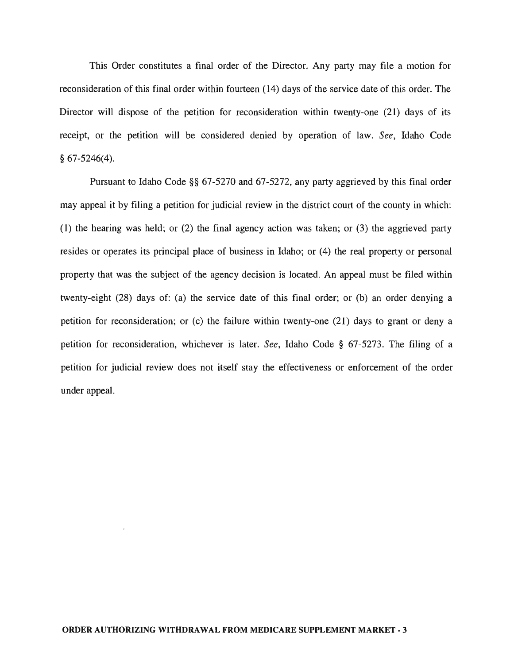This Order constitutes a final order of the Director. Any party may file a motion for reconsideration of this final order within fourteen (14) days of the service date of this order. The Director will dispose of the petition for reconsideration within twenty-one (21) days of its receipt, or the petition will be considered denied by operation of law. *See,* Idaho Code § 67-5246(4).

Pursuant to Idaho Code §§ 67-5270 and 67-5272, any party aggrieved by this final order may appeal it by filing a petition for judicial review in the district court of the county in which: (1) the hearing was held; or (2) the final agency action was taken; or (3) the aggrieved party resides or operates its principal place of business in Idaho; or (4) the real property or personal property that was the subject of the agency decision is located. An appeal must be filed within twenty-eight (28) days of: (a) the service date of this final order; or (b) an order denying a petition for reconsideration; or (c) the failure within twenty-one (21) days to grant or deny a petition for reconsideration, whichever is later. *See,* Idaho Code § 67-5273. The filing of a petition for judicial review does not itself stay the effectiveness or enforcement of the order under appeal.